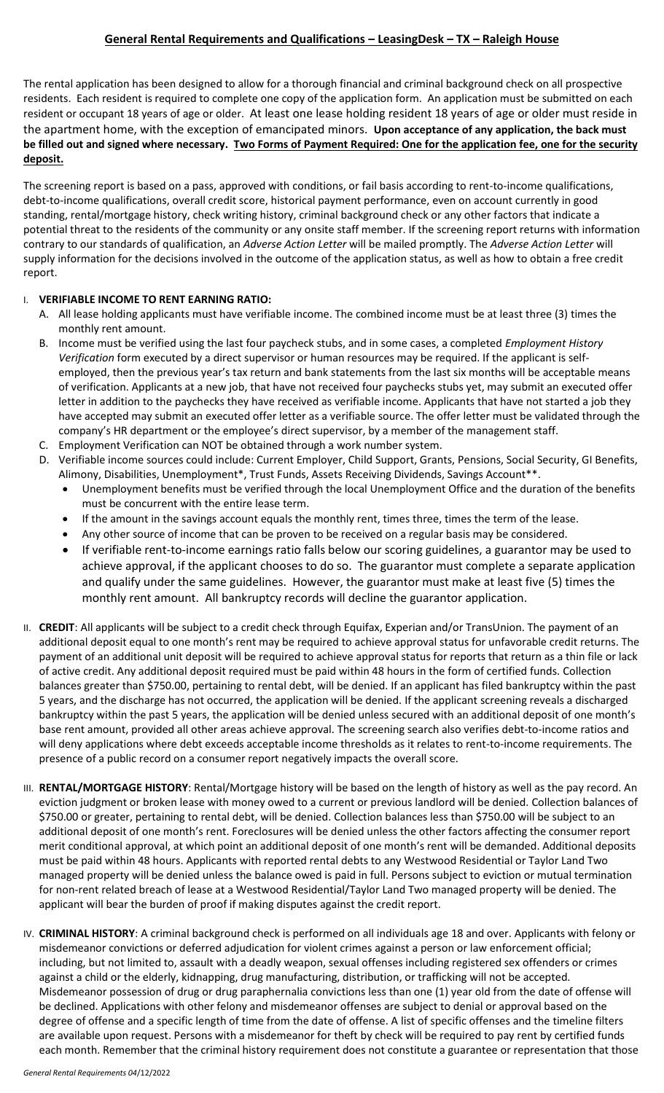# **General Rental Requirements and Qualifications – LeasingDesk – TX – Raleigh House**

The rental application has been designed to allow for a thorough financial and criminal background check on all prospective residents. Each resident is required to complete one copy of the application form. An application must be submitted on each resident or occupant 18 years of age or older. At least one lease holding resident 18 years of age or older must reside in the apartment home, with the exception of emancipated minors. **Upon acceptance of any application, the back must be filled out and signed where necessary. Two Forms of Payment Required: One for the application fee, one for the security deposit.**

The screening report is based on a pass, approved with conditions, or fail basis according to rent-to-income qualifications, debt-to-income qualifications, overall credit score, historical payment performance, even on account currently in good standing, rental/mortgage history, check writing history, criminal background check or any other factors that indicate a potential threat to the residents of the community or any onsite staff member. If the screening report returns with information contrary to our standards of qualification, an *Adverse Action Letter* will be mailed promptly. The *Adverse Action Letter* will supply information for the decisions involved in the outcome of the application status, as well as how to obtain a free credit report.

#### I. **VERIFIABLE INCOME TO RENT EARNING RATIO:**

- A. All lease holding applicants must have verifiable income. The combined income must be at least three (3) times the monthly rent amount.
- B. Income must be verified using the last four paycheck stubs, and in some cases, a completed *Employment History Verification* form executed by a direct supervisor or human resources may be required. If the applicant is selfemployed, then the previous year's tax return and bank statements from the last six months will be acceptable means of verification. Applicants at a new job, that have not received four paychecks stubs yet, may submit an executed offer letter in addition to the paychecks they have received as verifiable income. Applicants that have not started a job they have accepted may submit an executed offer letter as a verifiable source. The offer letter must be validated through the company's HR department or the employee's direct supervisor, by a member of the management staff.
- C. Employment Verification can NOT be obtained through a work number system.
- D. Verifiable income sources could include: Current Employer, Child Support, Grants, Pensions, Social Security, GI Benefits, Alimony, Disabilities, Unemployment\*, Trust Funds, Assets Receiving Dividends, Savings Account\*\*.
	- Unemployment benefits must be verified through the local Unemployment Office and the duration of the benefits must be concurrent with the entire lease term.
	- If the amount in the savings account equals the monthly rent, times three, times the term of the lease.
	- Any other source of income that can be proven to be received on a regular basis may be considered.
	- If verifiable rent-to-income earnings ratio falls below our scoring guidelines, a guarantor may be used to achieve approval, if the applicant chooses to do so. The guarantor must complete a separate application and qualify under the same guidelines. However, the guarantor must make at least five (5) times the monthly rent amount. All bankruptcy records will decline the guarantor application.
- II. CREDIT: All applicants will be subject to a credit check through Equifax, Experian and/or TransUnion. The payment of an additional deposit equal to one month's rent may be required to achieve approval status for unfavorable credit returns. The payment of an additional unit deposit will be required to achieve approval status for reports that return as a thin file or lack of active credit. Any additional deposit required must be paid within 48 hours in the form of certified funds. Collection balances greater than \$750.00, pertaining to rental debt, will be denied. If an applicant has filed bankruptcy within the past 5 years, and the discharge has not occurred, the application will be denied. If the applicant screening reveals a discharged bankruptcy within the past 5 years, the application will be denied unless secured with an additional deposit of one month's base rent amount, provided all other areas achieve approval. The screening search also verifies debt-to-income ratios and will deny applications where debt exceeds acceptable income thresholds as it relates to rent-to-income requirements. The presence of a public record on a consumer report negatively impacts the overall score.
- III. **RENTAL/MORTGAGE HISTORY**: Rental/Mortgage history will be based on the length of history as well as the pay record. An eviction judgment or broken lease with money owed to a current or previous landlord will be denied. Collection balances of \$750.00 or greater, pertaining to rental debt, will be denied. Collection balances less than \$750.00 will be subject to an additional deposit of one month's rent. Foreclosures will be denied unless the other factors affecting the consumer report merit conditional approval, at which point an additional deposit of one month's rent will be demanded. Additional deposits must be paid within 48 hours. Applicants with reported rental debts to any Westwood Residential or Taylor Land Two managed property will be denied unless the balance owed is paid in full. Persons subject to eviction or mutual termination for non-rent related breach of lease at a Westwood Residential/Taylor Land Two managed property will be denied. The applicant will bear the burden of proof if making disputes against the credit report.
- IV. **CRIMINAL HISTORY**: A criminal background check is performed on all individuals age 18 and over. Applicants with felony or misdemeanor convictions or deferred adjudication for violent crimes against a person or law enforcement official; including, but not limited to, assault with a deadly weapon, sexual offenses including registered sex offenders or crimes against a child or the elderly, kidnapping, drug manufacturing, distribution, or trafficking will not be accepted. Misdemeanor possession of drug or drug paraphernalia convictions less than one (1) year old from the date of offense will be declined. Applications with other felony and misdemeanor offenses are subject to denial or approval based on the degree of offense and a specific length of time from the date of offense. A list of specific offenses and the timeline filters are available upon request. Persons with a misdemeanor for theft by check will be required to pay rent by certified funds each month. Remember that the criminal history requirement does not constitute a guarantee or representation that those